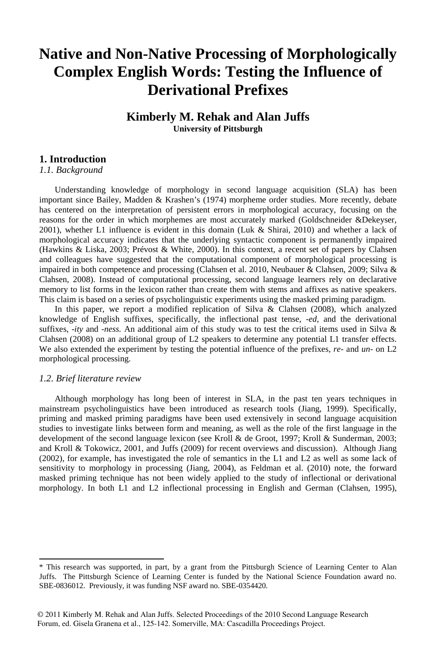## **Native and Non-Native Processing of Morphologically Complex English Words: Testing the Influence of Derivational Prefixes**

### **Kimberly M. Rehak and Alan Juffs University of Pittsburgh**

#### **1. Introduction<sup>1</sup>**

*1.1. Background*

Understanding knowledge of morphology in second language acquisition (SLA) has been important since Bailey, Madden & Krashen's (1974) morpheme order studies. More recently, debate has centered on the interpretation of persistent errors in morphological accuracy, focusing on the reasons for the order in which morphemes are most accurately marked (Goldschneider &Dekeyser, 2001), whether L1 influence is evident in this domain (Luk & Shirai, 2010) and whether a lack of morphological accuracy indicates that the underlying syntactic component is permanently impaired (Hawkins & Liska, 2003; Prévost & White, 2000). In this context, a recent set of papers by Clahsen and colleagues have suggested that the computational component of morphological processing is impaired in both competence and processing (Clahsen et al. 2010, Neubauer & Clahsen, 2009; Silva & Clahsen, 2008). Instead of computational processing, second language learners rely on declarative memory to list forms in the lexicon rather than create them with stems and affixes as native speakers. This claim is based on a series of psycholinguistic experiments using the masked priming paradigm.

In this paper, we report a modified replication of Silva & Clahsen (2008), which analyzed knowledge of English suffixes, specifically, the inflectional past tense, -*ed*, and the derivational suffixes, -*ity* and -*ness.* An additional aim of this study was to test the critical items used in Silva & Clahsen (2008) on an additional group of L2 speakers to determine any potential L1 transfer effects. We also extended the experiment by testing the potential influence of the prefixes, *re*- and *un*- on L2 morphological processing.

#### *1.2. Brief literature review*

Although morphology has long been of interest in SLA, in the past ten years techniques in mainstream psycholinguistics have been introduced as research tools (Jiang, 1999). Specifically, priming and masked priming paradigms have been used extensively in second language acquisition studies to investigate links between form and meaning, as well as the role of the first language in the development of the second language lexicon (see Kroll & de Groot, 1997; Kroll & Sunderman, 2003; and Kroll & Tokowicz, 2001, and Juffs (2009) for recent overviews and discussion). Although Jiang (2002), for example, has investigated the role of semantics in the L1 and L2 as well as some lack of sensitivity to morphology in processing (Jiang, 2004), as Feldman et al. (2010) note, the forward masked priming technique has not been widely applied to the study of inflectional or derivational morphology. In both L1 and L2 inflectional processing in English and German (Clahsen, 1995),

<sup>1</sup> \* This research was supported, in part, by a grant from the Pittsburgh Science of Learning Center to Alan Juffs. The Pittsburgh Science of Learning Center is funded by the National Science Foundation award no. SBE-0836012. Previously, it was funding NSF award no. SBE-0354420.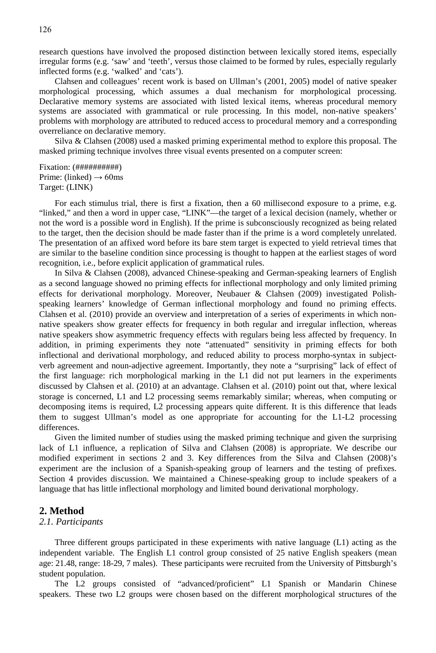research questions have involved the proposed distinction between lexically stored items, especially irregular forms (e.g. 'saw' and 'teeth', versus those claimed to be formed by rules, especially regularly inflected forms (e.g. 'walked' and 'cats').

Clahsen and colleagues' recent work is based on Ullman's (2001, 2005) model of native speaker morphological processing, which assumes a dual mechanism for morphological processing. Declarative memory systems are associated with listed lexical items, whereas procedural memory systems are associated with grammatical or rule processing. In this model, non-native speakers' problems with morphology are attributed to reduced access to procedural memory and a corresponding overreliance on declarative memory.

Silva & Clahsen (2008) used a masked priming experimental method to explore this proposal. The masked priming technique involves three visual events presented on a computer screen:

Fixation: (##########) Prime: (linked)  $\rightarrow$  60ms Target: (LINK)

For each stimulus trial, there is first a fixation, then a 60 millisecond exposure to a prime, e.g. "linked," and then a word in upper case, "LINK"—the target of a lexical decision (namely, whether or not the word is a possible word in English). If the prime is subconsciously recognized as being related to the target, then the decision should be made faster than if the prime is a word completely unrelated. The presentation of an affixed word before its bare stem target is expected to yield retrieval times that are similar to the baseline condition since processing is thought to happen at the earliest stages of word recognition, i.e., before explicit application of grammatical rules.

In Silva & Clahsen (2008), advanced Chinese-speaking and German-speaking learners of English as a second language showed no priming effects for inflectional morphology and only limited priming effects for derivational morphology. Moreover, Neubauer & Clahsen (2009) investigated Polishspeaking learners' knowledge of German inflectional morphology and found no priming effects. Clahsen et al. (2010) provide an overview and interpretation of a series of experiments in which nonnative speakers show greater effects for frequency in both regular and irregular inflection, whereas native speakers show asymmetric frequency effects with regulars being less affected by frequency. In addition, in priming experiments they note "attenuated" sensitivity in priming effects for both inflectional and derivational morphology, and reduced ability to process morpho-syntax in subjectverb agreement and noun-adjective agreement. Importantly, they note a "surprising" lack of effect of the first language: rich morphological marking in the L1 did not put learners in the experiments discussed by Clahsen et al. (2010) at an advantage. Clahsen et al. (2010) point out that, where lexical storage is concerned, L1 and L2 processing seems remarkably similar; whereas, when computing or decomposing items is required, L2 processing appears quite different. It is this difference that leads them to suggest Ullman's model as one appropriate for accounting for the L1-L2 processing differences.

Given the limited number of studies using the masked priming technique and given the surprising lack of L1 influence, a replication of Silva and Clahsen (2008) is appropriate. We describe our modified experiment in sections 2 and 3. Key differences from the Silva and Clahsen (2008)'s experiment are the inclusion of a Spanish-speaking group of learners and the testing of prefixes. Section 4 provides discussion. We maintained a Chinese-speaking group to include speakers of a language that has little inflectional morphology and limited bound derivational morphology.

#### **2. Method**

#### *2.1. Participants*

Three different groups participated in these experiments with native language (L1) acting as the independent variable. The English L1 control group consisted of 25 native English speakers (mean age: 21.48, range: 18-29, 7 males). These participants were recruited from the University of Pittsburgh's student population.

The L2 groups consisted of "advanced/proficient" L1 Spanish or Mandarin Chinese speakers. These two L2 groups were chosen based on the different morphological structures of the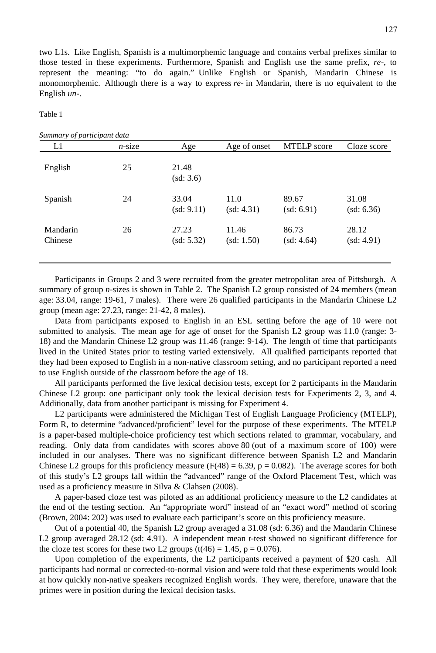two L1s. Like English, Spanish is a multimorphemic language and contains verbal prefixes similar to those tested in these experiments. Furthermore, Spanish and English use the same prefix, *re*-, to represent the meaning: "to do again." Unlike English or Spanish, Mandarin Chinese is monomorphemic. Although there is a way to express *re*- in Mandarin, there is no equivalent to the English *un*-.

Table 1

| Summary of participant data |           |                     |                     |                     |                     |
|-----------------------------|-----------|---------------------|---------------------|---------------------|---------------------|
| L1                          | $n$ -size | Age                 | Age of onset        | <b>MTELP</b> score  | Cloze score         |
| English                     | 25        | 21.48<br>(sd: 3.6)  |                     |                     |                     |
| Spanish                     | 24        | 33.04<br>(sd: 9.11) | 11.0<br>(sd: 4.31)  | 89.67<br>(sd: 6.91) | 31.08<br>(sd: 6.36) |
| Mandarin<br>Chinese         | 26        | 27.23<br>(sd: 5.32) | 11.46<br>(sd: 1.50) | 86.73<br>(sd: 4.64) | 28.12<br>(sd: 4.91) |

Participants in Groups 2 and 3 were recruited from the greater metropolitan area of Pittsburgh. A summary of group *n*-sizes is shown in Table 2. The Spanish L2 group consisted of 24 members (mean age: 33.04, range: 19-61, 7 males). There were 26 qualified participants in the Mandarin Chinese L2 group (mean age: 27.23, range: 21-42, 8 males).

Data from participants exposed to English in an ESL setting before the age of 10 were not submitted to analysis. The mean age for age of onset for the Spanish L2 group was 11.0 (range: 3-18) and the Mandarin Chinese L2 group was 11.46 (range: 9-14). The length of time that participants lived in the United States prior to testing varied extensively. All qualified participants reported that they had been exposed to English in a non-native classroom setting, and no participant reported a need to use English outside of the classroom before the age of 18.

All participants performed the five lexical decision tests, except for 2 participants in the Mandarin Chinese L2 group: one participant only took the lexical decision tests for Experiments 2, 3, and 4. Additionally, data from another participant is missing for Experiment 4.

L2 participants were administered the Michigan Test of English Language Proficiency (MTELP), Form R, to determine "advanced/proficient" level for the purpose of these experiments. The MTELP is a paper-based multiple-choice proficiency test which sections related to grammar, vocabulary, and reading. Only data from candidates with scores above 80 (out of a maximum score of 100) were included in our analyses. There was no significant difference between Spanish L2 and Mandarin Chinese L2 groups for this proficiency measure  $(F(48) = 6.39, p = 0.082)$ . The average scores for both of this study's L2 groups fall within the "advanced" range of the Oxford Placement Test, which was used as a proficiency measure in Silva & Clahsen (2008).

A paper-based cloze test was piloted as an additional proficiency measure to the L2 candidates at the end of the testing section. An "appropriate word" instead of an "exact word" method of scoring (Brown, 2004: 202) was used to evaluate each participant's score on this proficiency measure.

Out of a potential 40, the Spanish L2 group averaged a 31.08 (sd: 6.36) and the Mandarin Chinese L2 group averaged 28.12 (sd: 4.91). A independent mean *t*-test showed no significant difference for the cloze test scores for these two L2 groups  $(t(46) = 1.45, p = 0.076)$ .

Upon completion of the experiments, the L2 participants received a payment of \$20 cash. All participants had normal or corrected-to-normal vision and were told that these experiments would look at how quickly non-native speakers recognized English words. They were, therefore, unaware that the primes were in position during the lexical decision tasks.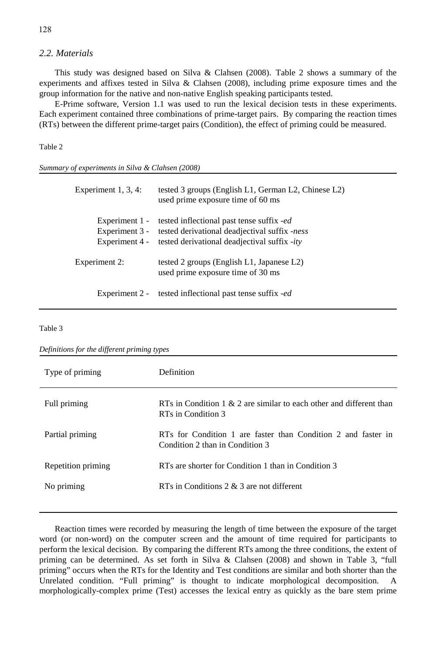#### *2.2. Materials*

This study was designed based on Silva & Clahsen (2008). Table 2 shows a summary of the experiments and affixes tested in Silva & Clahsen (2008), including prime exposure times and the group information for the native and non-native English speaking participants tested.

E-Prime software, Version 1.1 was used to run the lexical decision tests in these experiments. Each experiment contained three combinations of prime-target pairs. By comparing the reaction times (RTs) between the different prime-target pairs (Condition), the effect of priming could be measured.

#### Table 2

*Summary of experiments in Silva & Clahsen (2008)*

| Experiment $1, 3, 4$ :                             | tested 3 groups (English L1, German L2, Chinese L2)<br>used prime exposure time of 60 ms                                                   |
|----------------------------------------------------|--------------------------------------------------------------------------------------------------------------------------------------------|
| Experiment 1 -<br>Experiment 3 -<br>Experiment 4 - | tested inflectional past tense suffix -ed<br>tested derivational deadjectival suffix -ness<br>tested derivational deadjectival suffix -ity |
| Experiment 2:                                      | tested 2 groups (English L1, Japanese L2)<br>used prime exposure time of 30 ms                                                             |
| Experiment 2 -                                     | tested inflectional past tense suffix <i>-ed</i>                                                                                           |

Table 3

*Definitions for the different priming types*

| Type of priming    | Definition                                                                                       |
|--------------------|--------------------------------------------------------------------------------------------------|
| Full priming       | RTs in Condition 1 & 2 are similar to each other and different than<br>RTs in Condition 3        |
| Partial priming    | RTs for Condition 1 are faster than Condition 2 and faster in<br>Condition 2 than in Condition 3 |
| Repetition priming | RTs are shorter for Condition 1 than in Condition 3                                              |
| No priming         | RTs in Conditions $2 \& 3$ are not different                                                     |

Reaction times were recorded by measuring the length of time between the exposure of the target word (or non-word) on the computer screen and the amount of time required for participants to perform the lexical decision. By comparing the different RTs among the three conditions, the extent of priming can be determined. As set forth in Silva & Clahsen (2008) and shown in Table 3, "full priming" occurs when the RTs for the Identity and Test conditions are similar and both shorter than the Unrelated condition. "Full priming" is thought to indicate morphological decomposition. A morphologically-complex prime (Test) accesses the lexical entry as quickly as the bare stem prime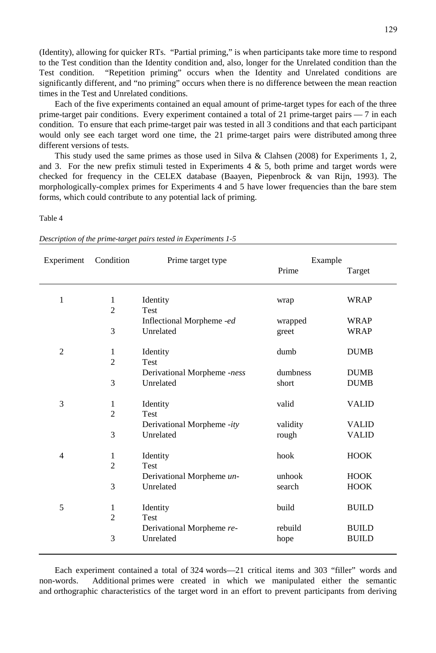(Identity), allowing for quicker RTs. "Partial priming," is when participants take more time to respond to the Test condition than the Identity condition and, also, longer for the Unrelated condition than the Test condition. "Repetition priming" occurs when the Identity and Unrelated conditions are significantly different, and "no priming" occurs when there is no difference between the mean reaction times in the Test and Unrelated conditions.

Each of the five experiments contained an equal amount of prime-target types for each of the three prime-target pair conditions. Every experiment contained a total of 21 prime-target pairs — 7 in each condition. To ensure that each prime-target pair was tested in all 3 conditions and that each participant would only see each target word one time, the 21 prime-target pairs were distributed among three different versions of tests.

This study used the same primes as those used in Silva & Clahsen (2008) for Experiments 1, 2, and 3. For the new prefix stimuli tested in Experiments 4  $\&$  5, both prime and target words were checked for frequency in the CELEX database (Baayen, Piepenbrock & van Rijn, 1993). The morphologically-complex primes for Experiments 4 and 5 have lower frequencies than the bare stem forms, which could contribute to any potential lack of priming.

#### Table 4

| Description of the prime-target pairs tested in Experiments 1-5 |  |  |  |  |  |  |
|-----------------------------------------------------------------|--|--|--|--|--|--|
|-----------------------------------------------------------------|--|--|--|--|--|--|

| Experiment     | Condition      | Prime target type           | Example  |              |
|----------------|----------------|-----------------------------|----------|--------------|
|                |                |                             | Prime    | Target       |
| $\mathbf{1}$   | $\mathbf{1}$   | Identity                    | wrap     | <b>WRAP</b>  |
|                | $\overline{2}$ | Test                        |          |              |
|                |                | Inflectional Morpheme -ed   | wrapped  | <b>WRAP</b>  |
|                | 3              | Unrelated                   | greet    | <b>WRAP</b>  |
| $\overline{2}$ | $\mathbf{1}$   | Identity                    | dumb     | <b>DUMB</b>  |
|                | $\overline{2}$ | <b>Test</b>                 |          |              |
|                |                | Derivational Morpheme -ness | dumbness | <b>DUMB</b>  |
|                | 3              | Unrelated                   | short    | <b>DUMB</b>  |
| 3              | $\mathbf{1}$   | Identity                    | valid    | <b>VALID</b> |
|                | $\overline{2}$ | <b>Test</b>                 |          |              |
|                |                | Derivational Morpheme -ity  | validity | <b>VALID</b> |
|                | 3              | Unrelated                   | rough    | <b>VALID</b> |
| 4              | $\mathbf{1}$   | Identity                    | hook     | <b>HOOK</b>  |
|                | $\overline{2}$ | Test                        |          |              |
|                |                | Derivational Morpheme un-   | unhook   | <b>HOOK</b>  |
|                | 3              | Unrelated                   | search   | <b>HOOK</b>  |
| 5              | $\mathbf{1}$   | Identity                    | build    | <b>BUILD</b> |
|                | $\overline{2}$ | Test                        |          |              |
|                |                | Derivational Morpheme re-   | rebuild  | <b>BUILD</b> |
|                | 3              | Unrelated                   | hope     | <b>BUILD</b> |
|                |                |                             |          |              |

Each experiment contained a total of 324 words—21 critical items and 303 "filler" words and non-words. Additional primes were created in which we manipulated either the semantic and orthographic characteristics of the target word in an effort to prevent participants from deriving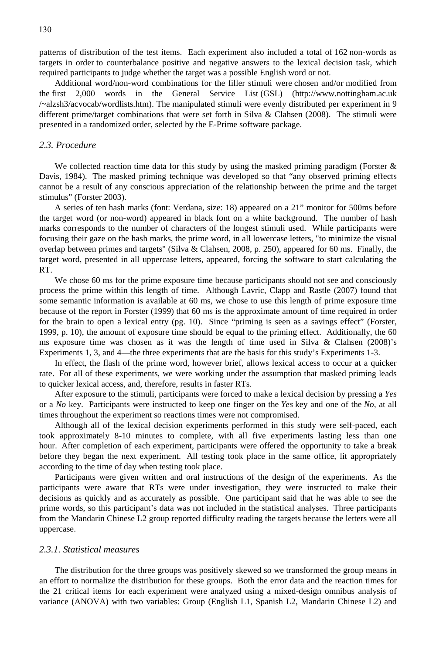patterns of distribution of the test items. Each experiment also included a total of 162 non-words as targets in order to counterbalance positive and negative answers to the lexical decision task, which required participants to judge whether the target was a possible English word or not.

Additional word/non-word combinations for the filler stimuli were chosen and/or modified from the first 2,000 words in the General Service List (GSL) (http://www.nottingham.ac.uk /~alzsh3/acvocab/wordlists.htm). The manipulated stimuli were evenly distributed per experiment in 9 different prime/target combinations that were set forth in Silva & Clahsen (2008). The stimuli were presented in a randomized order, selected by the E-Prime software package.

#### *2.3. Procedure*

We collected reaction time data for this study by using the masked priming paradigm (Forster  $\&$ Davis, 1984). The masked priming technique was developed so that "any observed priming effects cannot be a result of any conscious appreciation of the relationship between the prime and the target stimulus" (Forster 2003).

A series of ten hash marks (font: Verdana, size: 18) appeared on a 21" monitor for 500ms before the target word (or non-word) appeared in black font on a white background. The number of hash marks corresponds to the number of characters of the longest stimuli used. While participants were focusing their gaze on the hash marks, the prime word, in all lowercase letters, "to minimize the visual overlap between primes and targets" (Silva & Clahsen, 2008, p. 250), appeared for 60 ms. Finally, the target word, presented in all uppercase letters, appeared, forcing the software to start calculating the RT.

We chose 60 ms for the prime exposure time because participants should not see and consciously process the prime within this length of time. Although Lavric, Clapp and Rastle (2007) found that some semantic information is available at 60 ms, we chose to use this length of prime exposure time because of the report in Forster (1999) that 60 ms is the approximate amount of time required in order for the brain to open a lexical entry (pg. 10). Since "priming is seen as a savings effect" (Forster, 1999, p. 10), the amount of exposure time should be equal to the priming effect. Additionally, the 60 ms exposure time was chosen as it was the length of time used in Silva & Clahsen (2008)'s Experiments 1, 3, and 4—the three experiments that are the basis for this study's Experiments 1-3.

In effect, the flash of the prime word, however brief, allows lexical access to occur at a quicker rate. For all of these experiments, we were working under the assumption that masked priming leads to quicker lexical access, and, therefore, results in faster RTs.

After exposure to the stimuli, participants were forced to make a lexical decision by pressing a *Yes*  or a *No* key. Participants were instructed to keep one finger on the *Yes* key and one of the *No*, at all times throughout the experiment so reactions times were not compromised.

Although all of the lexical decision experiments performed in this study were self-paced, each took approximately 8-10 minutes to complete, with all five experiments lasting less than one hour. After completion of each experiment, participants were offered the opportunity to take a break before they began the next experiment. All testing took place in the same office, lit appropriately according to the time of day when testing took place.

Participants were given written and oral instructions of the design of the experiments. As the participants were aware that RTs were under investigation, they were instructed to make their decisions as quickly and as accurately as possible. One participant said that he was able to see the prime words, so this participant's data was not included in the statistical analyses. Three participants from the Mandarin Chinese L2 group reported difficulty reading the targets because the letters were all uppercase.

#### *2.3.1. Statistical measures*

The distribution for the three groups was positively skewed so we transformed the group means in an effort to normalize the distribution for these groups. Both the error data and the reaction times for the 21 critical items for each experiment were analyzed using a mixed-design omnibus analysis of variance (ANOVA) with two variables: Group (English L1, Spanish L2, Mandarin Chinese L2) and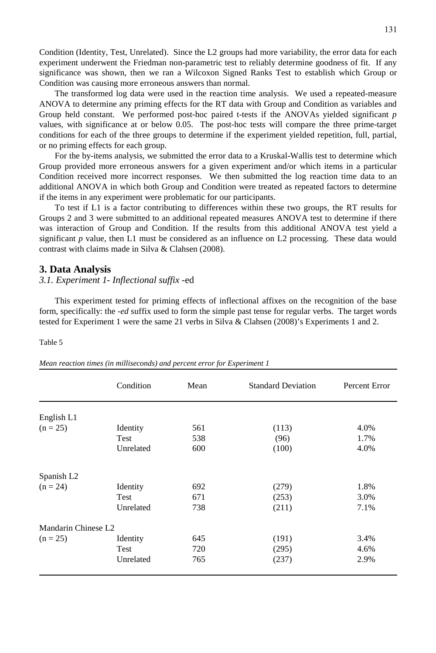Condition (Identity, Test, Unrelated). Since the L2 groups had more variability, the error data for each experiment underwent the Friedman non-parametric test to reliably determine goodness of fit. If any significance was shown, then we ran a Wilcoxon Signed Ranks Test to establish which Group or Condition was causing more erroneous answers than normal.

The transformed log data were used in the reaction time analysis. We used a repeated-measure ANOVA to determine any priming effects for the RT data with Group and Condition as variables and Group held constant. We performed post-hoc paired t-tests if the ANOVAs yielded significant *p* values, with significance at or below 0.05. The post-hoc tests will compare the three prime-target conditions for each of the three groups to determine if the experiment yielded repetition, full, partial, or no priming effects for each group.

For the by-items analysis, we submitted the error data to a Kruskal-Wallis test to determine which Group provided more erroneous answers for a given experiment and/or which items in a particular Condition received more incorrect responses. We then submitted the log reaction time data to an additional ANOVA in which both Group and Condition were treated as repeated factors to determine if the items in any experiment were problematic for our participants.

To test if L1 is a factor contributing to differences within these two groups, the RT results for Groups 2 and 3 were submitted to an additional repeated measures ANOVA test to determine if there was interaction of Group and Condition. If the results from this additional ANOVA test yield a significant *p* value, then L1 must be considered as an influence on L2 processing. These data would contrast with claims made in Silva & Clahsen (2008).

#### **3. Data Analysis**

#### *3.1. Experiment 1- Inflectional suffix -*ed

This experiment tested for priming effects of inflectional affixes on the recognition of the base form, specifically: the -*ed* suffix used to form the simple past tense for regular verbs. The target words tested for Experiment 1 were the same 21 verbs in Silva & Clahsen (2008)'s Experiments 1 and 2.

|                                 | Condition   | Mean | <b>Standard Deviation</b> | Percent Error |
|---------------------------------|-------------|------|---------------------------|---------------|
| English L1                      |             |      |                           |               |
| $(n = 25)$                      | Identity    | 561  | (113)                     | 4.0%          |
|                                 | Test        | 538  | (96)                      | 1.7%          |
|                                 | Unrelated   | 600  | (100)                     | 4.0%          |
| Spanish L2                      |             |      |                           |               |
| $(n = 24)$                      | Identity    | 692  | (279)                     | 1.8%          |
|                                 | <b>Test</b> | 671  | (253)                     | 3.0%          |
|                                 | Unrelated   | 738  | (211)                     | 7.1%          |
| Mandarin Chinese L <sub>2</sub> |             |      |                           |               |
| $(n = 25)$                      | Identity    | 645  | (191)                     | 3.4%          |
|                                 | Test        | 720  | (295)                     | 4.6%          |
|                                 | Unrelated   | 765  | (237)                     | 2.9%          |

#### Table 5

| Mean reaction times (in milliseconds) and percent error for Experiment 1 |  |  |  |  |
|--------------------------------------------------------------------------|--|--|--|--|
|--------------------------------------------------------------------------|--|--|--|--|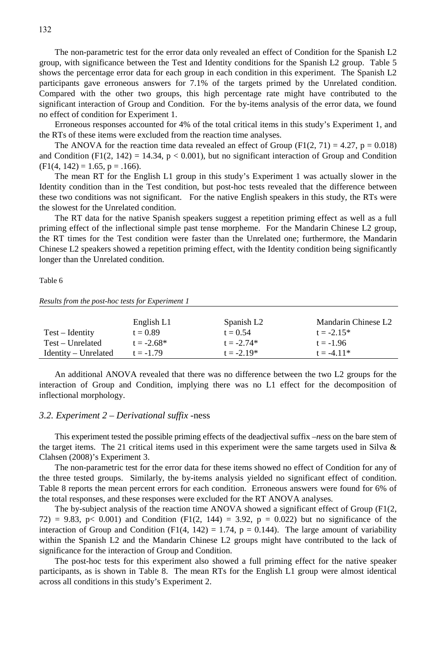The non-parametric test for the error data only revealed an effect of Condition for the Spanish L2 group, with significance between the Test and Identity conditions for the Spanish L2 group. Table 5 shows the percentage error data for each group in each condition in this experiment. The Spanish L2 participants gave erroneous answers for 7.1% of the targets primed by the Unrelated condition. Compared with the other two groups, this high percentage rate might have contributed to the significant interaction of Group and Condition. For the by-items analysis of the error data, we found no effect of condition for Experiment 1.

Erroneous responses accounted for 4% of the total critical items in this study's Experiment 1, and the RTs of these items were excluded from the reaction time analyses.

The ANOVA for the reaction time data revealed an effect of Group (F1(2, 71) = 4.27, p = 0.018) and Condition  $(F1(2, 142) = 14.34, p < 0.001)$ , but no significant interaction of Group and Condition  $(F1(4, 142) = 1.65, p = .166)$ .

The mean RT for the English L1 group in this study's Experiment 1 was actually slower in the Identity condition than in the Test condition, but post-hoc tests revealed that the difference between these two conditions was not significant. For the native English speakers in this study, the RTs were the slowest for the Unrelated condition.

The RT data for the native Spanish speakers suggest a repetition priming effect as well as a full priming effect of the inflectional simple past tense morpheme. For the Mandarin Chinese L2 group, the RT times for the Test condition were faster than the Unrelated one; furthermore, the Mandarin Chinese L2 speakers showed a repetition priming effect, with the Identity condition being significantly longer than the Unrelated condition.

Table 6

*Results from the post-hoc tests for Experiment 1*

|                      | English L1   | Spanish L <sub>2</sub> | Mandarin Chinese L2 |
|----------------------|--------------|------------------------|---------------------|
| Test – Identity      | $t = 0.89$   | $t = 0.54$             | $t = -2.15*$        |
| Test – Unrelated     | $t = -2.68*$ | $t = -2.74*$           | $t = -1.96$         |
| Identity – Unrelated | $t = -1.79$  | $t = -2.19*$           | $t = -4.11*$        |

An additional ANOVA revealed that there was no difference between the two L2 groups for the interaction of Group and Condition, implying there was no L1 effect for the decomposition of inflectional morphology.

#### *3.2. Experiment 2 – Derivational suffix -*ness

This experiment tested the possible priming effects of the deadjectival suffix –*ness* on the bare stem of the target items. The 21 critical items used in this experiment were the same targets used in Silva  $\&$ Clahsen (2008)'s Experiment 3.

The non-parametric test for the error data for these items showed no effect of Condition for any of the three tested groups. Similarly, the by-items analysis yielded no significant effect of condition. Table 8 reports the mean percent errors for each condition. Erroneous answers were found for 6% of the total responses, and these responses were excluded for the RT ANOVA analyses.

The by-subject analysis of the reaction time ANOVA showed a significant effect of Group (F1(2, 72) = 9.83, p< 0.001) and Condition (F1(2, 144) = 3.92, p = 0.022) but no significance of the interaction of Group and Condition (F1(4, 142) = 1.74,  $p = 0.144$ ). The large amount of variability within the Spanish L2 and the Mandarin Chinese L2 groups might have contributed to the lack of significance for the interaction of Group and Condition.

The post-hoc tests for this experiment also showed a full priming effect for the native speaker participants, as is shown in Table 8. The mean RTs for the English L1 group were almost identical across all conditions in this study's Experiment 2.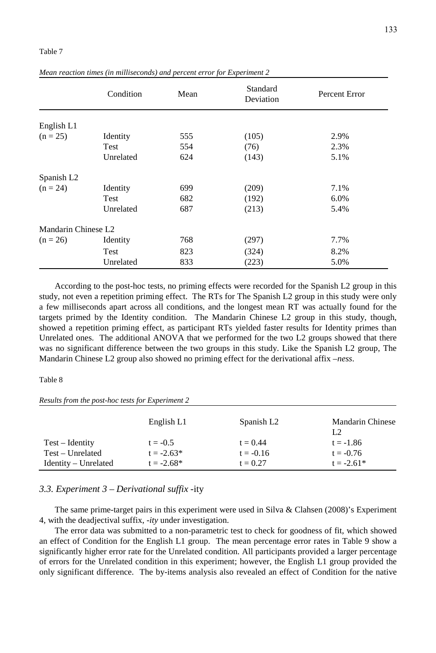|                     | Condition | Mean | Standard<br>Deviation | Percent Error |
|---------------------|-----------|------|-----------------------|---------------|
| English L1          |           |      |                       |               |
| $(n = 25)$          | Identity  | 555  | (105)                 | 2.9%          |
|                     | Test      | 554  | (76)                  | 2.3%          |
|                     | Unrelated | 624  | (143)                 | 5.1%          |
| Spanish L2          |           |      |                       |               |
| $(n = 24)$          | Identity  | 699  | (209)                 | 7.1%          |
|                     | Test      | 682  | (192)                 | 6.0%          |
|                     | Unrelated | 687  | (213)                 | 5.4%          |
| Mandarin Chinese L2 |           |      |                       |               |
| $(n = 26)$          | Identity  | 768  | (297)                 | 7.7%          |
|                     | Test      | 823  | (324)                 | 8.2%          |
|                     | Unrelated | 833  | (223)                 | 5.0%          |

*Mean reaction times (in milliseconds) and percent error for Experiment 2*

According to the post-hoc tests, no priming effects were recorded for the Spanish L2 group in this study, not even a repetition priming effect. The RTs for The Spanish L2 group in this study were only a few milliseconds apart across all conditions, and the longest mean RT was actually found for the targets primed by the Identity condition. The Mandarin Chinese L2 group in this study, though, showed a repetition priming effect, as participant RTs yielded faster results for Identity primes than Unrelated ones. The additional ANOVA that we performed for the two L2 groups showed that there was no significant difference between the two groups in this study. Like the Spanish L2 group, The Mandarin Chinese L2 group also showed no priming effect for the derivational affix –*ness*.

#### Table 8

*Results from the post-hoc tests for Experiment 2*

|                        | English L1   | Spanish L <sub>2</sub> | <b>Mandarin Chinese</b><br>1.2 |
|------------------------|--------------|------------------------|--------------------------------|
| Test – Identity        | $t = -0.5$   | $t = 0.44$             | $t = -1.86$                    |
| $Test - Unrelated$     | $t = -2.63*$ | $t = -0.16$            | $t = -0.76$                    |
| $Identity - Unrelated$ | $t = -2.68*$ | $t = 0.27$             | $t = -2.61*$                   |

#### *3.3. Experiment 3 – Derivational suffix -*ity

The same prime-target pairs in this experiment were used in Silva & Clahsen (2008)'s Experiment 4, with the deadjectival suffix, -*ity* under investigation.

The error data was submitted to a non-parametric test to check for goodness of fit, which showed an effect of Condition for the English L1 group. The mean percentage error rates in Table 9 show a significantly higher error rate for the Unrelated condition. All participants provided a larger percentage of errors for the Unrelated condition in this experiment; however, the English L1 group provided the only significant difference. The by-items analysis also revealed an effect of Condition for the native

#### Table 7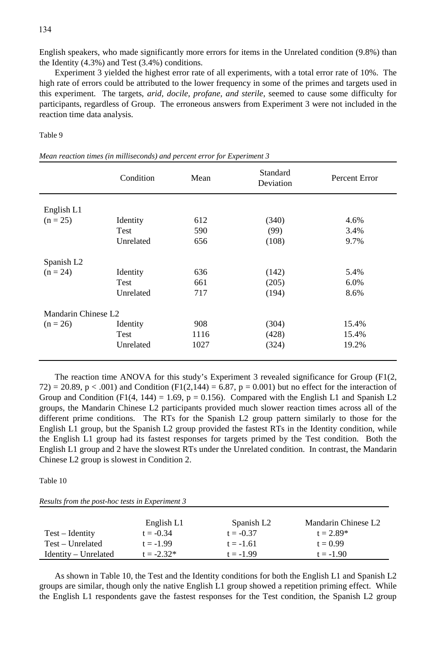English speakers, who made significantly more errors for items in the Unrelated condition (9.8%) than the Identity (4.3%) and Test (3.4%) conditions.

Experiment 3 yielded the highest error rate of all experiments, with a total error rate of 10%. The high rate of errors could be attributed to the lower frequency in some of the primes and targets used in this experiment. The targets, *arid, docile, profane, and sterile*, seemed to cause some difficulty for participants, regardless of Group. The erroneous answers from Experiment 3 were not included in the reaction time data analysis.

Table 9

|                        | Condition       | Mean | Standard<br>Deviation | Percent Error |
|------------------------|-----------------|------|-----------------------|---------------|
| English L1             |                 |      |                       |               |
| $(n = 25)$             | Identity        | 612  | (340)                 | 4.6%          |
|                        | Test            | 590  | (99)                  | 3.4%          |
|                        | Unrelated       | 656  | (108)                 | 9.7%          |
| Spanish L <sub>2</sub> |                 |      |                       |               |
| $(n = 24)$             | Identity        | 636  | (142)                 | 5.4%          |
|                        | Test            | 661  | (205)                 | 6.0%          |
|                        | Unrelated       | 717  | (194)                 | 8.6%          |
| Mandarin Chinese L2    |                 |      |                       |               |
| $(n = 26)$             | <b>Identity</b> | 908  | (304)                 | 15.4%         |
|                        | Test            | 1116 | (428)                 | 15.4%         |
|                        | Unrelated       | 1027 | (324)                 | 19.2%         |

| Mean reaction times (in milliseconds) and percent error for Experiment 3 |  |  |  |
|--------------------------------------------------------------------------|--|--|--|
|--------------------------------------------------------------------------|--|--|--|

The reaction time ANOVA for this study's Experiment 3 revealed significance for Group  $(F1(2,$  $72$ ) = 20.89, p < .001) and Condition (F1(2,144) = 6.87, p = 0.001) but no effect for the interaction of Group and Condition (F1(4, 144) = 1.69,  $p = 0.156$ ). Compared with the English L1 and Spanish L2 groups, the Mandarin Chinese L2 participants provided much slower reaction times across all of the different prime conditions. The RTs for the Spanish L2 group pattern similarly to those for the English L1 group, but the Spanish L2 group provided the fastest RTs in the Identity condition, while the English L1 group had its fastest responses for targets primed by the Test condition. Both the English L1 group and 2 have the slowest RTs under the Unrelated condition. In contrast, the Mandarin Chinese L2 group is slowest in Condition 2.

#### Table 10

| Results from the post-hoc tests in Experiment 3 |  |  |  |  |
|-------------------------------------------------|--|--|--|--|
|-------------------------------------------------|--|--|--|--|

|                      | English L1   | Spanish L <sub>2</sub> | Mandarin Chinese L2 |
|----------------------|--------------|------------------------|---------------------|
| $Test - Identity$    | $t = -0.34$  | $t = -0.37$            | $t = 2.89*$         |
| Test – Unrelated     | $t = -1.99$  | $t = -1.61$            | $t = 0.99$          |
| Identity – Unrelated | $t = -2.32*$ | $t = -1.99$            | $t = -1.90$         |

As shown in Table 10, the Test and the Identity conditions for both the English L1 and Spanish L2 groups are similar, though only the native English L1 group showed a repetition priming effect. While the English L1 respondents gave the fastest responses for the Test condition, the Spanish L2 group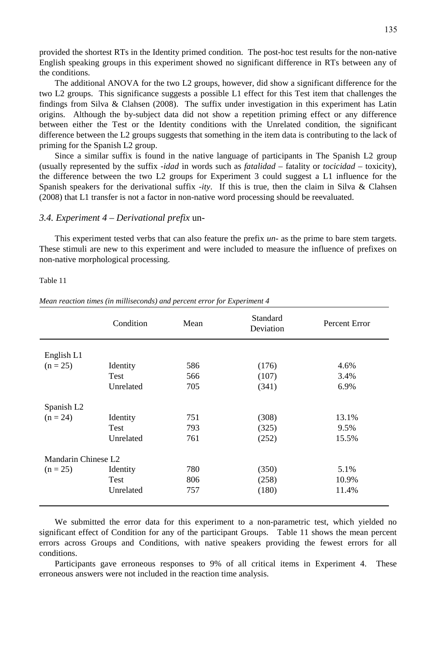provided the shortest RTs in the Identity primed condition. The post-hoc test results for the non-native English speaking groups in this experiment showed no significant difference in RTs between any of the conditions.

The additional ANOVA for the two L2 groups, however, did show a significant difference for the two L2 groups. This significance suggests a possible L1 effect for this Test item that challenges the findings from Silva & Clahsen (2008). The suffix under investigation in this experiment has Latin origins. Although the by-subject data did not show a repetition priming effect or any difference between either the Test or the Identity conditions with the Unrelated condition, the significant difference between the L2 groups suggests that something in the item data is contributing to the lack of priming for the Spanish L2 group.

Since a similar suffix is found in the native language of participants in The Spanish L2 group (usually represented by the suffix *-idad* in words such as *fatalidad* – fatality or *tocicidad* – toxicity), the difference between the two L2 groups for Experiment 3 could suggest a L1 influence for the Spanish speakers for the derivational suffix -*ity*. If this is true, then the claim in Silva & Clahsen (2008) that L1 transfer is not a factor in non-native word processing should be reevaluated.

#### *3.4. Experiment 4 – Derivational prefix* un-

This experiment tested verbs that can also feature the prefix *un-* as the prime to bare stem targets. These stimuli are new to this experiment and were included to measure the influence of prefixes on non-native morphological processing.

#### Table 11

|                        | Condition   | Mean | Standard<br>Deviation | Percent Error |
|------------------------|-------------|------|-----------------------|---------------|
|                        |             |      |                       |               |
| English L1             |             |      |                       |               |
| $(n = 25)$             | Identity    | 586  | (176)                 | 4.6%          |
|                        | <b>Test</b> | 566  | (107)                 | 3.4%          |
|                        | Unrelated   | 705  | (341)                 | 6.9%          |
| Spanish L <sub>2</sub> |             |      |                       |               |
| $(n = 24)$             | Identity    | 751  | (308)                 | 13.1%         |
|                        | <b>Test</b> | 793  | (325)                 | 9.5%          |
|                        | Unrelated   | 761  | (252)                 | 15.5%         |
| Mandarin Chinese L2    |             |      |                       |               |
| $(n = 25)$             | Identity    | 780  | (350)                 | 5.1%          |
|                        | <b>Test</b> | 806  | (258)                 | 10.9%         |
|                        | Unrelated   | 757  | (180)                 | 11.4%         |

*Mean reaction times (in milliseconds) and percent error for Experiment 4*

We submitted the error data for this experiment to a non-parametric test, which yielded no significant effect of Condition for any of the participant Groups. Table 11 shows the mean percent errors across Groups and Conditions, with native speakers providing the fewest errors for all conditions.

Participants gave erroneous responses to 9% of all critical items in Experiment 4. These erroneous answers were not included in the reaction time analysis.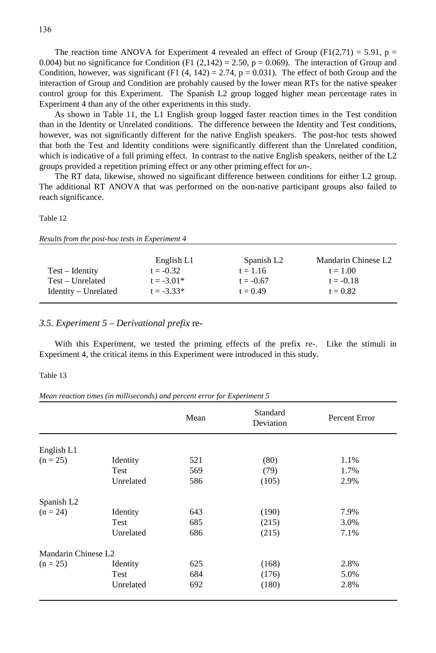The reaction time ANOVA for Experiment 4 revealed an effect of Group (F1(2,71) = 5.91, p = 0.004) but no significance for Condition (F1 (2,142) = 2.50,  $p = 0.069$ ). The interaction of Group and Condition, however, was significant (F1  $(4, 142) = 2.74$ , p = 0.031). The effect of both Group and the interaction of Group and Condition are probably caused by the lower mean RTs for the native speaker control group for this Experiment. The Spanish L2 group logged higher mean percentage rates in Experiment 4 than any of the other experiments in this study.

As shown in Table 11, the L1 English group logged faster reaction times in the Test condition than in the Identity or Unrelated conditions. The difference between the Identity and Test conditions, however, was not significantly different for the native English speakers. The post-hoc tests showed that both the Test and Identity conditions were significantly different than the Unrelated condition, which is indicative of a full priming effect. In contrast to the native English speakers, neither of the L2 groups provided a repetition priming effect or any other priming effect for *un-*.

The RT data, likewise, showed no significant difference between conditions for either L2 group. The additional RT ANOVA that was performed on the non-native participant groups also failed to reach significance.

#### Table 12

|                        | English L1   | Spanish L <sub>2</sub> | Mandarin Chinese L2 |
|------------------------|--------------|------------------------|---------------------|
| $Test - Identity$      | $t = -0.32$  | $t = 1.16$             | $t = 1.00$          |
| $Test - Unrelated$     | $t = -3.01*$ | $t = -0.67$            | $t = -0.18$         |
| $Identity - Unrelated$ | $t = -3.33*$ | $t = 0.49$             | $t = 0.82$          |

#### *3.5. Experiment 5 – Derivational prefix* re-

With this Experiment, we tested the priming effects of the prefix *re-*. Like the stimuli in Experiment 4, the critical items in this Experiment were introduced in this study.

#### Table 13

*Mean reaction times (in milliseconds) and percent error for Experiment 5*

|                        |           | Mean | Standard<br>Deviation | Percent Error |
|------------------------|-----------|------|-----------------------|---------------|
|                        |           |      |                       |               |
| English L1             |           |      |                       |               |
| $(n = 25)$             | Identity  | 521  | (80)                  | 1.1%          |
|                        | Test      | 569  | (79)                  | 1.7%          |
|                        | Unrelated | 586  | (105)                 | 2.9%          |
| Spanish L <sub>2</sub> |           |      |                       |               |
| $(n = 24)$             | Identity  | 643  | (190)                 | 7.9%          |
|                        | Test      | 685  | (215)                 | 3.0%          |
|                        | Unrelated | 686  | (215)                 | 7.1%          |
| Mandarin Chinese L2    |           |      |                       |               |
| $(n = 25)$             | Identity  | 625  | (168)                 | 2.8%          |
|                        | Test      | 684  | (176)                 | 5.0%          |
|                        | Unrelated | 692  | (180)                 | 2.8%          |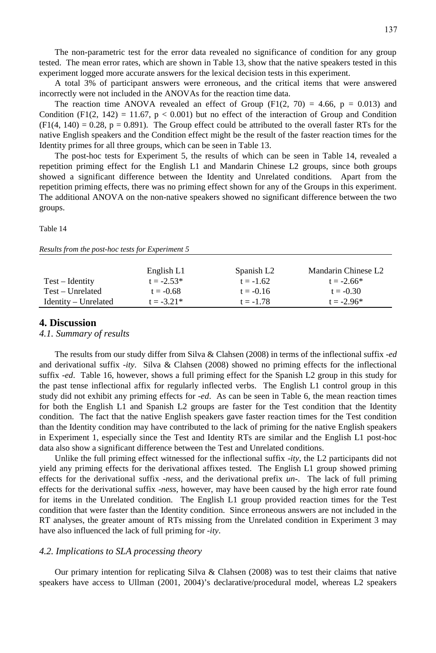The non-parametric test for the error data revealed no significance of condition for any group tested. The mean error rates, which are shown in Table 13, show that the native speakers tested in this experiment logged more accurate answers for the lexical decision tests in this experiment.

A total 3% of participant answers were erroneous, and the critical items that were answered incorrectly were not included in the ANOVAs for the reaction time data.

The reaction time ANOVA revealed an effect of Group  $(F1(2, 70) = 4.66, p = 0.013)$  and Condition (F1(2, 142) = 11.67,  $p < 0.001$ ) but no effect of the interaction of Group and Condition  $(F1(4, 140) = 0.28, p = 0.891)$ . The Group effect could be attributed to the overall faster RTs for the native English speakers and the Condition effect might be the result of the faster reaction times for the Identity primes for all three groups, which can be seen in Table 13.

The post-hoc tests for Experiment 5, the results of which can be seen in Table 14, revealed a repetition priming effect for the English L1 and Mandarin Chinese L2 groups, since both groups showed a significant difference between the Identity and Unrelated conditions. Apart from the repetition priming effects, there was no priming effect shown for any of the Groups in this experiment. The additional ANOVA on the non-native speakers showed no significant difference between the two groups.

Table 14

|                        | English L1   | Spanish L <sub>2</sub> | Mandarin Chinese L2 |
|------------------------|--------------|------------------------|---------------------|
| Test – Identity        | $t = -2.53*$ | $t = -1.62$            | $t = -2.66*$        |
| Test – Unrelated       | $t = -0.68$  | $t = -0.16$            | $t = -0.30$         |
| $Identity - Unrelated$ | $t = -3.21*$ | $t = -1.78$            | $t = -2.96*$        |

*Results from the post-hoc tests for Experiment 5*

#### **4. Discussion**

#### *4.1. Summary of results*

The results from our study differ from Silva & Clahsen (2008) in terms of the inflectional suffix -*ed* and derivational suffix -*ity*. Silva & Clahsen (2008) showed no priming effects for the inflectional suffix -*ed*. Table 16, however, shows a full priming effect for the Spanish L2 group in this study for the past tense inflectional affix for regularly inflected verbs. The English L1 control group in this study did not exhibit any priming effects for -*ed*. As can be seen in Table 6, the mean reaction times for both the English L1 and Spanish L2 groups are faster for the Test condition that the Identity condition. The fact that the native English speakers gave faster reaction times for the Test condition than the Identity condition may have contributed to the lack of priming for the native English speakers in Experiment 1, especially since the Test and Identity RTs are similar and the English L1 post-hoc data also show a significant difference between the Test and Unrelated conditions.

Unlike the full priming effect witnessed for the inflectional suffix -*ity*, the L2 participants did not yield any priming effects for the derivational affixes tested. The English L1 group showed priming effects for the derivational suffix -*ness*, and the derivational prefix *un*-. The lack of full priming effects for the derivational suffix -*ness*, however, may have been caused by the high error rate found for items in the Unrelated condition. The English L1 group provided reaction times for the Test condition that were faster than the Identity condition. Since erroneous answers are not included in the RT analyses, the greater amount of RTs missing from the Unrelated condition in Experiment 3 may have also influenced the lack of full priming for -*ity*.

#### *4.2. Implications to SLA processing theory*

Our primary intention for replicating Silva & Clahsen (2008) was to test their claims that native speakers have access to Ullman (2001, 2004)'s declarative/procedural model, whereas L2 speakers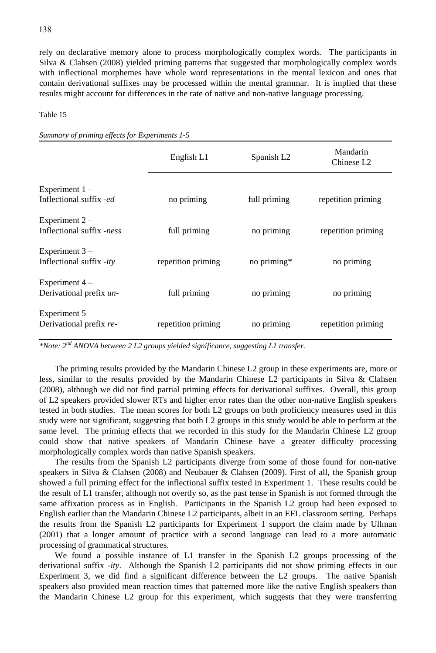rely on declarative memory alone to process morphologically complex words. The participants in Silva & Clahsen (2008) yielded priming patterns that suggested that morphologically complex words with inflectional morphemes have whole word representations in the mental lexicon and ones that contain derivational suffixes may be processed within the mental grammar. It is implied that these results might account for differences in the rate of native and non-native language processing.

#### Table 15

*Summary of priming effects for Experiments 1-5*

|                                               | English L1         | Spanish L <sub>2</sub> | Mandarin<br>Chinese L <sub>2</sub> |
|-----------------------------------------------|--------------------|------------------------|------------------------------------|
| Experiment $1 -$<br>Inflectional suffix -ed   | no priming         | full priming           | repetition priming                 |
| Experiment $2 -$<br>Inflectional suffix -ness | full priming       | no priming             | repetition priming                 |
| Experiment $3 -$<br>Inflectional suffix -ity  | repetition priming | no priming*            | no priming                         |
| Experiment $4-$<br>Derivational prefix un-    | full priming       | no priming             | no priming                         |
| Experiment 5<br>Derivational prefix re-       | repetition priming | no priming             | repetition priming                 |

*\*Note: 2nd ANOVA between 2 L2 groups yielded significance, suggesting L1 transfer.*

The priming results provided by the Mandarin Chinese L2 group in these experiments are, more or less, similar to the results provided by the Mandarin Chinese L2 participants in Silva & Clahsen (2008), although we did not find partial priming effects for derivational suffixes. Overall, this group of L2 speakers provided slower RTs and higher error rates than the other non-native English speakers tested in both studies. The mean scores for both L2 groups on both proficiency measures used in this study were not significant, suggesting that both L2 groups in this study would be able to perform at the same level. The priming effects that we recorded in this study for the Mandarin Chinese L2 group could show that native speakers of Mandarin Chinese have a greater difficulty processing morphologically complex words than native Spanish speakers.

The results from the Spanish L2 participants diverge from some of those found for non-native speakers in Silva & Clahsen (2008) and Neubauer & Clahsen (2009). First of all, the Spanish group showed a full priming effect for the inflectional suffix tested in Experiment 1. These results could be the result of L1 transfer, although not overtly so, as the past tense in Spanish is not formed through the same affixation process as in English. Participants in the Spanish L2 group had been exposed to English earlier than the Mandarin Chinese L2 participants, albeit in an EFL classroom setting. Perhaps the results from the Spanish L2 participants for Experiment 1 support the claim made by Ullman (2001) that a longer amount of practice with a second language can lead to a more automatic processing of grammatical structures.

We found a possible instance of L1 transfer in the Spanish L2 groups processing of the derivational suffix -*ity*. Although the Spanish L2 participants did not show priming effects in our Experiment 3, we did find a significant difference between the L2 groups. The native Spanish speakers also provided mean reaction times that patterned more like the native English speakers than the Mandarin Chinese L2 group for this experiment, which suggests that they were transferring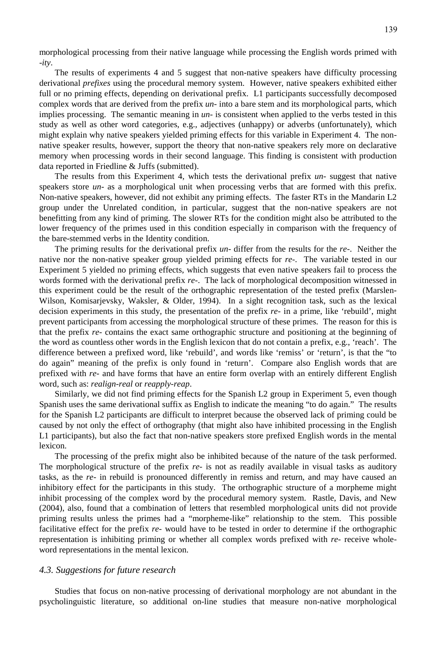morphological processing from their native language while processing the English words primed with -*ity*.

The results of experiments 4 and 5 suggest that non-native speakers have difficulty processing derivational *prefixes* using the procedural memory system. However, native speakers exhibited either full or no priming effects, depending on derivational prefix. L1 participants successfully decomposed complex words that are derived from the prefix *un-* into a bare stem and its morphological parts, which implies processing. The semantic meaning in *un-* is consistent when applied to the verbs tested in this study as well as other word categories, e.g., adjectives (unhappy) or adverbs (unfortunately), which might explain why native speakers yielded priming effects for this variable in Experiment 4. The nonnative speaker results, however, support the theory that non-native speakers rely more on declarative memory when processing words in their second language. This finding is consistent with production data reported in Friedline & Juffs (submitted).

The results from this Experiment 4, which tests the derivational prefix *un-* suggest that native speakers store *un*- as a morphological unit when processing verbs that are formed with this prefix. Non-native speakers, however, did not exhibit any priming effects. The faster RTs in the Mandarin L2 group under the Unrelated condition, in particular, suggest that the non-native speakers are not benefitting from any kind of priming. The slower RTs for the condition might also be attributed to the lower frequency of the primes used in this condition especially in comparison with the frequency of the bare-stemmed verbs in the Identity condition.

The priming results for the derivational prefix *un*- differ from the results for the *re*-. Neither the native nor the non-native speaker group yielded priming effects for *re*-. The variable tested in our Experiment 5 yielded no priming effects, which suggests that even native speakers fail to process the words formed with the derivational prefix *re-*. The lack of morphological decomposition witnessed in this experiment could be the result of the orthographic representation of the tested prefix (Marslen-Wilson, Komisarjevsky, Waksler, & Older, 1994). In a sight recognition task, such as the lexical decision experiments in this study, the presentation of the prefix *re-* in a prime, like 'rebuild', might prevent participants from accessing the morphological structure of these primes. The reason for this is that the prefix *re-* contains the exact same orthographic structure and positioning at the beginning of the word as countless other words in the English lexicon that do not contain a prefix, e.g., 'reach'. The difference between a prefixed word, like 'rebuild', and words like 'remiss' or 'return', is that the "to do again" meaning of the prefix is only found in 'return'. Compare also English words that are prefixed with *re-* and have forms that have an entire form overlap with an entirely different English word, such as: *realign-real* or *reapply-reap*.

Similarly, we did not find priming effects for the Spanish L2 group in Experiment 5, even though Spanish uses the same derivational suffix as English to indicate the meaning "to do again." The results for the Spanish L2 participants are difficult to interpret because the observed lack of priming could be caused by not only the effect of orthography (that might also have inhibited processing in the English L1 participants), but also the fact that non-native speakers store prefixed English words in the mental lexicon.

The processing of the prefix might also be inhibited because of the nature of the task performed. The morphological structure of the prefix *re-* is not as readily available in visual tasks as auditory tasks, as the *re-* in rebuild is pronounced differently in remiss and return, and may have caused an inhibitory effect for the participants in this study. The orthographic structure of a morpheme might inhibit processing of the complex word by the procedural memory system. Rastle, Davis, and New (2004), also, found that a combination of letters that resembled morphological units did not provide priming results unless the primes had a "morpheme-like" relationship to the stem. This possible facilitative effect for the prefix *re-* would have to be tested in order to determine if the orthographic representation is inhibiting priming or whether all complex words prefixed with *re-* receive wholeword representations in the mental lexicon.

#### *4.3. Suggestions for future research*

Studies that focus on non-native processing of derivational morphology are not abundant in the psycholinguistic literature, so additional on-line studies that measure non-native morphological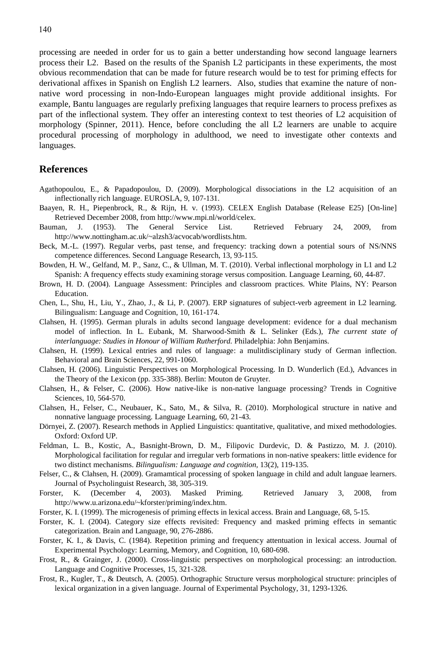processing are needed in order for us to gain a better understanding how second language learners process their L2. Based on the results of the Spanish L2 participants in these experiments, the most obvious recommendation that can be made for future research would be to test for priming effects for derivational affixes in Spanish on English L2 learners. Also, studies that examine the nature of nonnative word processing in non-Indo-European languages might provide additional insights. For example, Bantu languages are regularly prefixing languages that require learners to process prefixes as part of the inflectional system. They offer an interesting context to test theories of L2 acquisition of morphology (Spinner, 2011). Hence, before concluding the all L2 learners are unable to acquire procedural processing of morphology in adulthood, we need to investigate other contexts and languages.

#### **References**

- Agathopoulou, E., & Papadopoulou, D. (2009). Morphological dissociations in the L2 acquisition of an inflectionally rich language. EUROSLA, 9, 107-131.
- Baayen, R. H., Piepenbrock, R., & Rijn, H. v. (1993). CELEX English Database (Release E25) [On-line] Retrieved December 2008, from http://www.mpi.nl/world/celex.
- Bauman, J. (1953). The General Service List. Retrieved February 24, 2009, from http://www.nottingham.ac.uk/~alzsh3/acvocab/wordlists.htm.
- Beck, M.-L. (1997). Regular verbs, past tense, and frequency: tracking down a potential sours of NS/NNS competence differences. Second Language Research, 13, 93-115.
- Bowden, H. W., Gelfand, M. P., Sanz, C., & Ullman, M. T. (2010). Verbal inflectional morphology in L1 and L2 Spanish: A frequency effects study examining storage versus composition. Language Learning, 60, 44-87.
- Brown, H. D. (2004). Language Assessment: Principles and classroom practices. White Plains, NY: Pearson Education.
- Chen, L., Shu, H., Liu, Y., Zhao, J., & Li, P. (2007). ERP signatures of subject-verb agreement in L2 learning. Bilingualism: Language and Cognition, 10, 161-174.
- Clahsen, H. (1995). German plurals in adults second language development: evidence for a dual mechanism model of inflection. In L. Eubank, M. Sharwood-Smith & L. Selinker (Eds.), *The current state of interlanguage: Studies in Honour of William Rutherford.* Philadelphia: John Benjamins.
- Clahsen, H. (1999). Lexical entries and rules of language: a mulitdisciplinary study of German inflection. Behavioral and Brain Sciences, 22, 991-1060.
- Clahsen, H. (2006). Linguistic Perspectives on Morphological Processing. In D. Wunderlich (Ed.), Advances in the Theory of the Lexicon (pp. 335-388). Berlin: Mouton de Gruyter.
- Clahsen, H., & Felser, C. (2006). How native-like is non-native language processing? Trends in Cognitive Sciences, 10, 564-570.
- Clahsen, H., Felser, C., Neubauer, K., Sato, M., & Silva, R. (2010). Morphological structure in native and nonnative language processing. Language Learning, 60, 21-43.
- Dörnyei, Z. (2007). Research methods in Applied Linguistics: quantitative, qualitative, and mixed methodologies. Oxford: Oxford UP.
- Feldman, L. B., Kostic, A., Basnight-Brown, D. M., Filipovic Durdevic, D. & Pastizzo, M. J. (2010). Morphological facilitation for regular and irregular verb formations in non-native speakers: little evidence for two distinct mechanisms. *Bilingualism: Language and cognition,* 13(2), 119-135.
- Felser, C., & Clahsen, H. (2009). Gramamtical processing of spoken language in child and adult languae learners. Journal of Psycholinguist Research, 38, 305-319.
- Forster, K. (December 4, 2003). Masked Priming. Retrieved January 3, 2008, from http://www.u.arizona.edu/~kforster/priming/index.htm.
- Forster, K. I. (1999). The microgenesis of priming effects in lexical access. Brain and Language, 68, 5-15.
- Forster, K. I. (2004). Category size effects revisited: Frequency and masked priming effects in semantic categorization. Brain and Language, 90, 276-2886.
- Forster, K. I., & Davis, C. (1984). Repetition priming and frequency attentuation in lexical access. Journal of Experimental Psychology: Learning, Memory, and Cognition, 10, 680-698.
- Frost, R., & Grainger, J. (2000). Cross-linguistic perspectives on morphological processing: an introduction. Language and Cognitive Processes, 15, 321-328.
- Frost, R., Kugler, T., & Deutsch, A. (2005). Orthographic Structure versus morphological structure: principles of lexical organization in a given language. Journal of Experimental Psychology, 31, 1293-1326.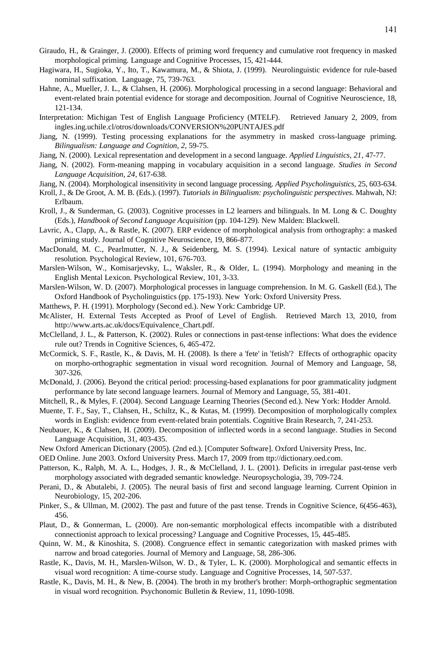- Giraudo, H., & Grainger, J. (2000). Effects of priming word frequency and cumulative root frequency in masked morphological priming. Language and Cognitive Processes, 15, 421-444.
- Hagiwara, H., Sugioka, Y., Ito, T., Kawamura, M., & Shiota, J. (1999). Neurolinguistic evidence for rule-based nominal suffixation. Language, 75, 739-763.
- Hahne, A., Mueller, J. L., & Clahsen, H. (2006). Morphological processing in a second language: Behavioral and event-related brain potential evidence for storage and decomposition. Journal of Cognitive Neuroscience, 18, 121-134.
- Interpretation: Michigan Test of English Language Proficiency (MTELF). Retrieved January 2, 2009, from ingles.ing.uchile.cl/otros/downloads/CONVERSION%20PUNTAJES.pdf
- Jiang, N. (1999). Testing processing explanations for the asymmetry in masked cross-language priming. *Bilingualism: Language and Cognition, 2*, 59-75.
- Jiang, N. (2000). Lexical representation and development in a second language. *Applied Linguistics, 21*, 47-77.
- Jiang, N. (2002). Form-meaning mapping in vocabulary acquisition in a second language. *Studies in Second Language Acquisition, 24*, 617-638.
- Jiang, N. (2004). Morphological insensitivity in second language processing. *Applied Psycholinguistics,* 25, 603-634.
- Kroll, J., & De Groot, A. M. B. (Eds.). (1997). *Tutorials in Bilingualism: psycholinguistic perspectives*. Mahwah, NJ: Erlbaum.
- Kroll, J., & Sunderman, G. (2003). Cognitive processes in L2 learners and bilinguals. In M. Long & C. Doughty (Eds.), *Handbook of Second Language Acquisition* (pp. 104-129). New Malden: Blackwell.
- Lavric, A., Clapp, A., & Rastle, K. (2007). ERP evidence of morphological analysis from orthography: a masked priming study. Journal of Cognitive Neuroscience, 19, 866-877.
- MacDonald, M. C., Pearlmutter, N. J., & Seidenberg, M. S. (1994). Lexical nature of syntactic ambiguity resolution. Psychological Review, 101, 676-703.
- Marslen-Wilson, W., Komisarjevsky, L., Waksler, R., & Older, L. (1994). Morphology and meaning in the English Mental Lexicon. Psychological Review, 101, 3-33.
- Marslen-Wilson, W. D. (2007). Morphological processes in language comprehension. In M. G. Gaskell (Ed.), The Oxford Handbook of Psycholinguistics (pp. 175-193). New York: Oxford University Press.
- Matthews, P. H. (1991). Morphology (Second ed.). New York: Cambridge UP.
- McAlister, H. External Tests Accepted as Proof of Level of English. Retrieved March 13, 2010, from http://www.arts.ac.uk/docs/Equivalence\_Chart.pdf.
- McClelland, J. L., & Patterson, K. (2002). Rules or connections in past-tense inflections: What does the evidence rule out? Trends in Cognitive Sciences, 6, 465-472.
- McCormick, S. F., Rastle, K., & Davis, M. H. (2008). Is there a 'fete' in 'fetish'? Effects of orthographic opacity on morpho-orthographic segmentation in visual word recognition. Journal of Memory and Language, 58, 307-326.
- McDonald, J. (2006). Beyond the critical period: processing-based explanations for poor grammaticality judgment performance by late second language learners. Journal of Memory and Language, 55, 381-401.
- Mitchell, R., & Myles, F. (2004). Second Language Learning Theories (Second ed.). New York: Hodder Arnold.
- Muente, T. F., Say, T., Clahsen, H., Schiltz, K., & Kutas, M. (1999). Decomposition of morphologically complex words in English: evidence from event-related brain potentials. Cognitive Brain Research, 7, 241-253.
- Neubauer, K., & Clahsen, H. (2009). Decomposition of inflected words in a second language. Studies in Second Language Acquisition, 31, 403-435.
- New Oxford American Dictionary (2005). (2nd ed.). [Computer Software]. Oxford University Press, Inc.
- OED Online. June 2003. Oxford University Press. March 17, 2009 from ttp://dictionary.oed.com.
- Patterson, K., Ralph, M. A. L., Hodges, J. R., & McClelland, J. L. (2001). Deficits in irregular past-tense verb morphology associated with degraded semantic knowledge. Neuropsychologia, 39, 709-724.
- Perani, D., & Abutalebi, J. (2005). The neural basis of first and second language learning. Current Opinion in Neurobiology, 15, 202-206.
- Pinker, S., & Ullman, M. (2002). The past and future of the past tense. Trends in Cognitive Science, 6(456-463), 456.
- Plaut, D., & Gonnerman, L. (2000). Are non-semantic morphological effects incompatible with a distributed connectionist approach to lexical processing? Language and Cognitive Processes, 15, 445-485.
- Quinn, W. M., & Kinoshita, S. (2008). Congruence effect in semantic categorization with masked primes with narrow and broad categories. Journal of Memory and Language, 58, 286-306.
- Rastle, K., Davis, M. H., Marslen-Wilson, W. D., & Tyler, L. K. (2000). Morphological and semantic effects in visual word recognition: A time-course study. Language and Cognitive Processes, 14, 507-537.
- Rastle, K., Davis, M. H., & New, B. (2004). The broth in my brother's brother: Morph-orthographic segmentation in visual word recognition. Psychonomic Bulletin & Review, 11, 1090-1098.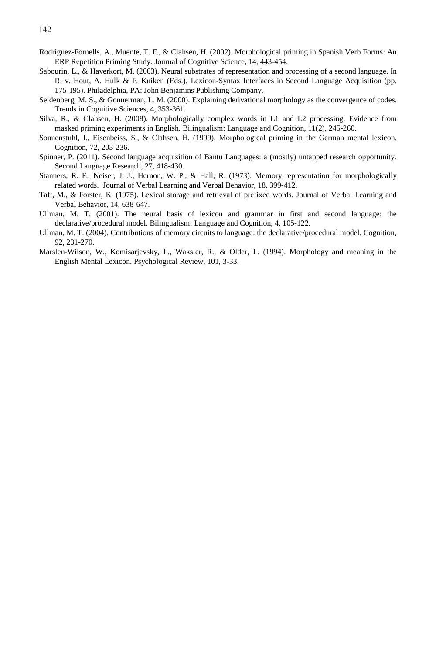- Rodriguez-Fornells, A., Muente, T. F., & Clahsen, H. (2002). Morphological priming in Spanish Verb Forms: An ERP Repetition Priming Study. Journal of Cognitive Science, 14, 443-454.
- Sabourin, L., & Haverkort, M. (2003). Neural substrates of representation and processing of a second language. In R. v. Hout, A. Hulk & F. Kuiken (Eds.), Lexicon-Syntax Interfaces in Second Language Acquisition (pp. 175-195). Philadelphia, PA: John Benjamins Publishing Company.
- Seidenberg, M. S., & Gonnerman, L. M. (2000). Explaining derivational morphology as the convergence of codes. Trends in Cognitive Sciences, 4, 353-361.
- Silva, R., & Clahsen, H. (2008). Morphologically complex words in L1 and L2 processing: Evidence from masked priming experiments in English. Bilingualism: Language and Cognition, 11(2), 245-260.
- Sonnenstuhl, I., Eisenbeiss, S., & Clahsen, H. (1999). Morphological priming in the German mental lexicon. Cognition, 72, 203-236.
- Spinner, P. (2011). Second language acquisition of Bantu Languages: a (mostly) untapped research opportunity. Second Language Research, 27, 418-430.
- Stanners, R. F., Neiser, J. J., Hernon, W. P., & Hall, R. (1973). Memory representation for morphologically related words. Journal of Verbal Learning and Verbal Behavior, 18, 399-412.
- Taft, M., & Forster, K. (1975). Lexical storage and retrieval of prefixed words. Journal of Verbal Learning and Verbal Behavior, 14, 638-647.
- Ullman, M. T. (2001). The neural basis of lexicon and grammar in first and second language: the declarative/procedural model. Bilingualism: Language and Cognition, 4, 105-122.
- Ullman, M. T. (2004). Contributions of memory circuits to language: the declarative/procedural model. Cognition, 92, 231-270.
- Marslen-Wilson, W., Komisarjevsky, L., Waksler, R., & Older, L. (1994). Morphology and meaning in the English Mental Lexicon. Psychological Review, 101, 3-33.